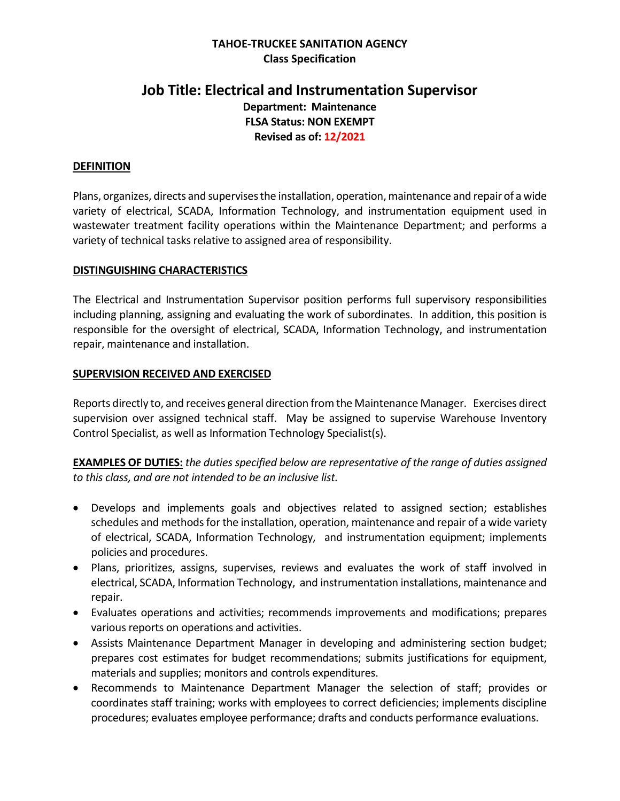#### **TAHOE-TRUCKEE SANITATION AGENCY Class Specification**

# **Job Title: Electrical and Instrumentation Supervisor Department: Maintenance FLSA Status: NON EXEMPT Revised as of: 12/2021**

#### **DEFINITION**

Plans, organizes, directs and supervisesthe installation, operation, maintenance and repair of a wide variety of electrical, SCADA, Information Technology, and instrumentation equipment used in wastewater treatment facility operations within the Maintenance Department; and performs a variety of technical tasks relative to assigned area of responsibility.

#### **DISTINGUISHING CHARACTERISTICS**

The Electrical and Instrumentation Supervisor position performs full supervisory responsibilities including planning, assigning and evaluating the work of subordinates. In addition, this position is responsible for the oversight of electrical, SCADA, Information Technology, and instrumentation repair, maintenance and installation.

#### **SUPERVISION RECEIVED AND EXERCISED**

Reports directly to, and receives general direction from the Maintenance Manager. Exercises direct supervision over assigned technical staff. May be assigned to supervise Warehouse Inventory Control Specialist, as well as Information Technology Specialist(s).

**EXAMPLES OF DUTIES:** *the duties specified below are representative of the range of duties assigned to this class, and are not intended to be an inclusive list.*

- Develops and implements goals and objectives related to assigned section; establishes schedules and methods for the installation, operation, maintenance and repair of a wide variety of electrical, SCADA, Information Technology, and instrumentation equipment; implements policies and procedures.
- Plans, prioritizes, assigns, supervises, reviews and evaluates the work of staff involved in electrical, SCADA, Information Technology, and instrumentation installations, maintenance and repair.
- Evaluates operations and activities; recommends improvements and modifications; prepares various reports on operations and activities.
- Assists Maintenance Department Manager in developing and administering section budget; prepares cost estimates for budget recommendations; submits justifications for equipment, materials and supplies; monitors and controls expenditures.
- Recommends to Maintenance Department Manager the selection of staff; provides or coordinates staff training; works with employees to correct deficiencies; implements discipline procedures; evaluates employee performance; drafts and conducts performance evaluations.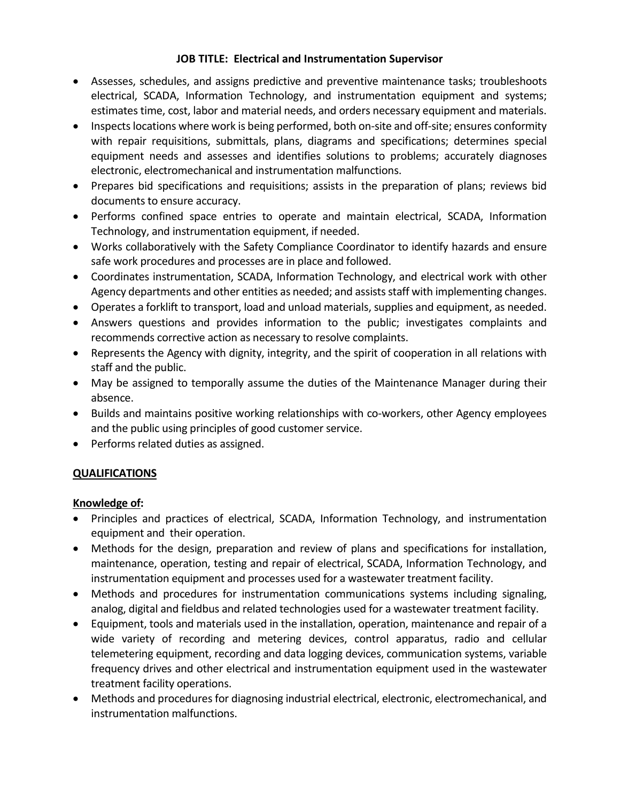- Assesses, schedules, and assigns predictive and preventive maintenance tasks; troubleshoots electrical, SCADA, Information Technology, and instrumentation equipment and systems; estimates time, cost, labor and material needs, and orders necessary equipment and materials.
- Inspects locations where work is being performed, both on-site and off-site; ensures conformity with repair requisitions, submittals, plans, diagrams and specifications; determines special equipment needs and assesses and identifies solutions to problems; accurately diagnoses electronic, electromechanical and instrumentation malfunctions.
- Prepares bid specifications and requisitions; assists in the preparation of plans; reviews bid documents to ensure accuracy.
- Performs confined space entries to operate and maintain electrical, SCADA, Information Technology, and instrumentation equipment, if needed.
- Works collaboratively with the Safety Compliance Coordinator to identify hazards and ensure safe work procedures and processes are in place and followed.
- Coordinates instrumentation, SCADA, Information Technology, and electrical work with other Agency departments and other entities as needed; and assists staff with implementing changes.
- Operates a forklift to transport, load and unload materials, supplies and equipment, as needed.
- Answers questions and provides information to the public; investigates complaints and recommends corrective action as necessary to resolve complaints.
- Represents the Agency with dignity, integrity, and the spirit of cooperation in all relations with staff and the public.
- May be assigned to temporally assume the duties of the Maintenance Manager during their absence.
- Builds and maintains positive working relationships with co-workers, other Agency employees and the public using principles of good customer service.
- Performs related duties as assigned.

# **QUALIFICATIONS**

# **Knowledge of:**

- Principles and practices of electrical, SCADA, Information Technology, and instrumentation equipment and their operation.
- Methods for the design, preparation and review of plans and specifications for installation, maintenance, operation, testing and repair of electrical, SCADA, Information Technology, and instrumentation equipment and processes used for a wastewater treatment facility.
- Methods and procedures for instrumentation communications systems including signaling, analog, digital and fieldbus and related technologies used for a wastewater treatment facility.
- Equipment, tools and materials used in the installation, operation, maintenance and repair of a wide variety of recording and metering devices, control apparatus, radio and cellular telemetering equipment, recording and data logging devices, communication systems, variable frequency drives and other electrical and instrumentation equipment used in the wastewater treatment facility operations.
- Methods and procedures for diagnosing industrial electrical, electronic, electromechanical, and instrumentation malfunctions.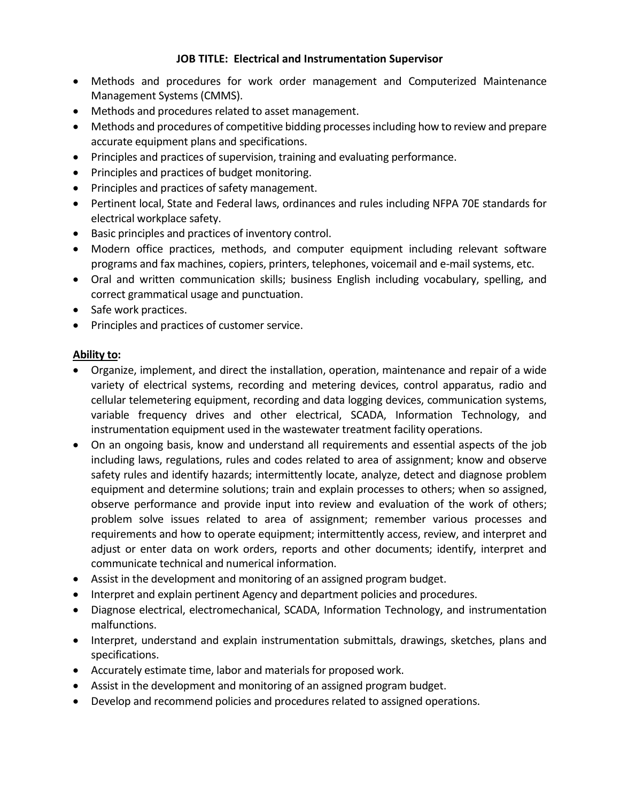- Methods and procedures for work order management and Computerized Maintenance Management Systems (CMMS).
- Methods and procedures related to asset management.
- Methods and procedures of competitive bidding processes including how to review and prepare accurate equipment plans and specifications.
- Principles and practices of supervision, training and evaluating performance.
- Principles and practices of budget monitoring.
- Principles and practices of safety management.
- Pertinent local, State and Federal laws, ordinances and rules including NFPA 70E standards for electrical workplace safety.
- Basic principles and practices of inventory control.
- Modern office practices, methods, and computer equipment including relevant software programs and fax machines, copiers, printers, telephones, voicemail and e-mail systems, etc.
- Oral and written communication skills; business English including vocabulary, spelling, and correct grammatical usage and punctuation.
- Safe work practices.
- Principles and practices of customer service.

#### **Ability to:**

- Organize, implement, and direct the installation, operation, maintenance and repair of a wide variety of electrical systems, recording and metering devices, control apparatus, radio and cellular telemetering equipment, recording and data logging devices, communication systems, variable frequency drives and other electrical, SCADA, Information Technology, and instrumentation equipment used in the wastewater treatment facility operations.
- On an ongoing basis, know and understand all requirements and essential aspects of the job including laws, regulations, rules and codes related to area of assignment; know and observe safety rules and identify hazards; intermittently locate, analyze, detect and diagnose problem equipment and determine solutions; train and explain processes to others; when so assigned, observe performance and provide input into review and evaluation of the work of others; problem solve issues related to area of assignment; remember various processes and requirements and how to operate equipment; intermittently access, review, and interpret and adjust or enter data on work orders, reports and other documents; identify, interpret and communicate technical and numerical information.
- Assist in the development and monitoring of an assigned program budget.
- Interpret and explain pertinent Agency and department policies and procedures.
- Diagnose electrical, electromechanical, SCADA, Information Technology, and instrumentation malfunctions.
- Interpret, understand and explain instrumentation submittals, drawings, sketches, plans and specifications.
- Accurately estimate time, labor and materials for proposed work.
- Assist in the development and monitoring of an assigned program budget.
- Develop and recommend policies and procedures related to assigned operations.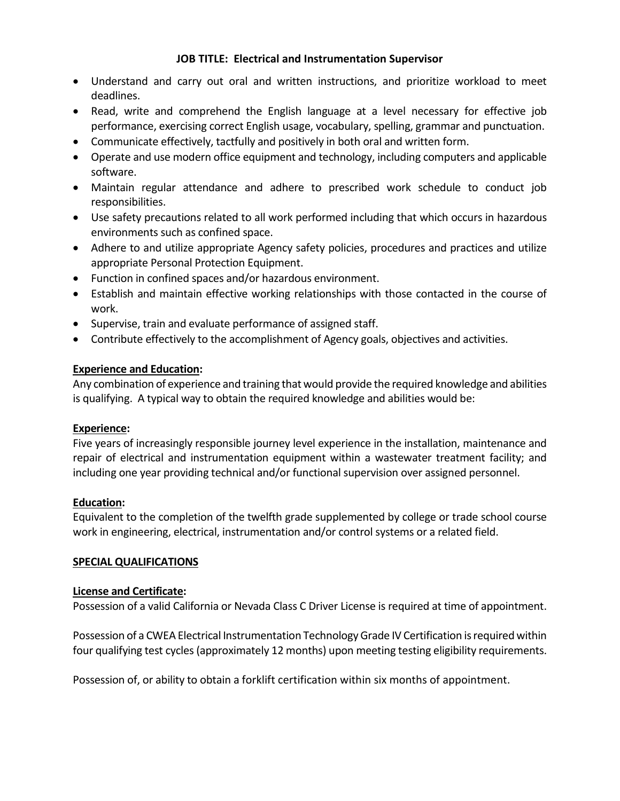- Understand and carry out oral and written instructions, and prioritize workload to meet deadlines.
- Read, write and comprehend the English language at a level necessary for effective job performance, exercising correct English usage, vocabulary, spelling, grammar and punctuation.
- Communicate effectively, tactfully and positively in both oral and written form.
- Operate and use modern office equipment and technology, including computers and applicable software.
- Maintain regular attendance and adhere to prescribed work schedule to conduct job responsibilities.
- Use safety precautions related to all work performed including that which occurs in hazardous environments such as confined space.
- Adhere to and utilize appropriate Agency safety policies, procedures and practices and utilize appropriate Personal Protection Equipment.
- Function in confined spaces and/or hazardous environment.
- Establish and maintain effective working relationships with those contacted in the course of work.
- Supervise, train and evaluate performance of assigned staff.
- Contribute effectively to the accomplishment of Agency goals, objectives and activities.

# **Experience and Education:**

Any combination of experience and training that would provide the required knowledge and abilities is qualifying. A typical way to obtain the required knowledge and abilities would be:

# **Experience:**

Five years of increasingly responsible journey level experience in the installation, maintenance and repair of electrical and instrumentation equipment within a wastewater treatment facility; and including one year providing technical and/or functional supervision over assigned personnel.

# **Education:**

Equivalent to the completion of the twelfth grade supplemented by college or trade school course work in engineering, electrical, instrumentation and/or control systems or a related field.

# **SPECIAL QUALIFICATIONS**

#### **License and Certificate:**

Possession of a valid California or Nevada Class C Driver License is required at time of appointment.

Possession of a CWEA Electrical Instrumentation Technology Grade IV Certification is required within four qualifying test cycles (approximately 12 months) upon meeting testing eligibility requirements.

Possession of, or ability to obtain a forklift certification within six months of appointment.